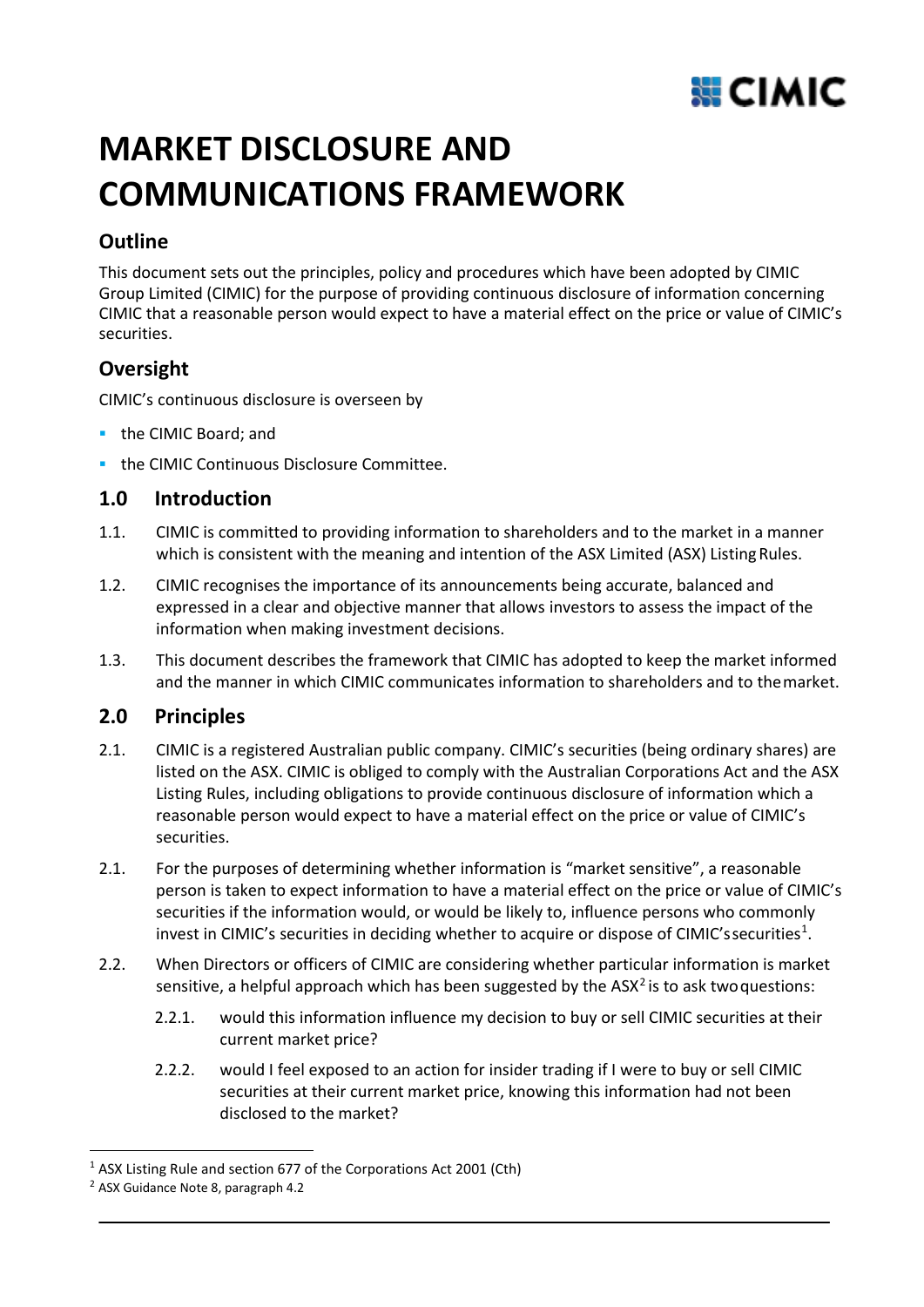

# **MARKET DISCLOSURE AND COMMUNICATIONS FRAMEWORK**

# **Outline**

This document sets out the principles, policy and procedures which have been adopted by CIMIC Group Limited (CIMIC) for the purpose of providing continuous disclosure of information concerning CIMIC that a reasonable person would expect to have a material effect on the price or value of CIMIC's securities.

# **Oversight**

CIMIC's continuous disclosure is overseen by

- **the CIMIC Board; and**
- **the CIMIC Continuous Disclosure Committee.**

# **1.0 Introduction**

- 1.1. CIMIC is committed to providing information to shareholders and to the market in a manner which is consistent with the meaning and intention of the ASX Limited (ASX) Listing Rules.
- 1.2. CIMIC recognises the importance of its announcements being accurate, balanced and expressed in a clear and objective manner that allows investors to assess the impact of the information when making investment decisions.
- 1.3. This document describes the framework that CIMIC has adopted to keep the market informed and the manner in which CIMIC communicates information to shareholders and to themarket.

## **2.0 Principles**

- 2.1. CIMIC is a registered Australian public company. CIMIC's securities (being ordinary shares) are listed on the ASX. CIMIC is obliged to comply with the Australian Corporations Act and the ASX Listing Rules, including obligations to provide continuous disclosure of information which a reasonable person would expect to have a material effect on the price or value of CIMIC's securities.
- 2.1. For the purposes of determining whether information is "market sensitive", a reasonable person is taken to expect information to have a material effect on the price or value of CIMIC's securities if the information would, or would be likely to, influence persons who commonly invest in CIMIC's securities in deciding whether to acquire or dispose of CIMIC'ssecurities<sup>[1](#page-0-0)</sup>.
- 2.2. When Directors or officers of CIMIC are considering whether particular information is market sensitive, a helpful approach which has been suggested by the  $ASX<sup>2</sup>$  $ASX<sup>2</sup>$  $ASX<sup>2</sup>$  is to ask two questions:
	- 2.2.1. would this information influence my decision to buy or sell CIMIC securities at their current market price?
	- 2.2.2. would I feel exposed to an action for insider trading if I were to buy or sell CIMIC securities at their current market price, knowing this information had not been disclosed to the market?

<span id="page-0-0"></span><sup>1</sup> ASX Listing Rule and section 677 of the Corporations Act 2001 (Cth)

<span id="page-0-1"></span><sup>2</sup> ASX Guidance Note 8, paragraph 4.2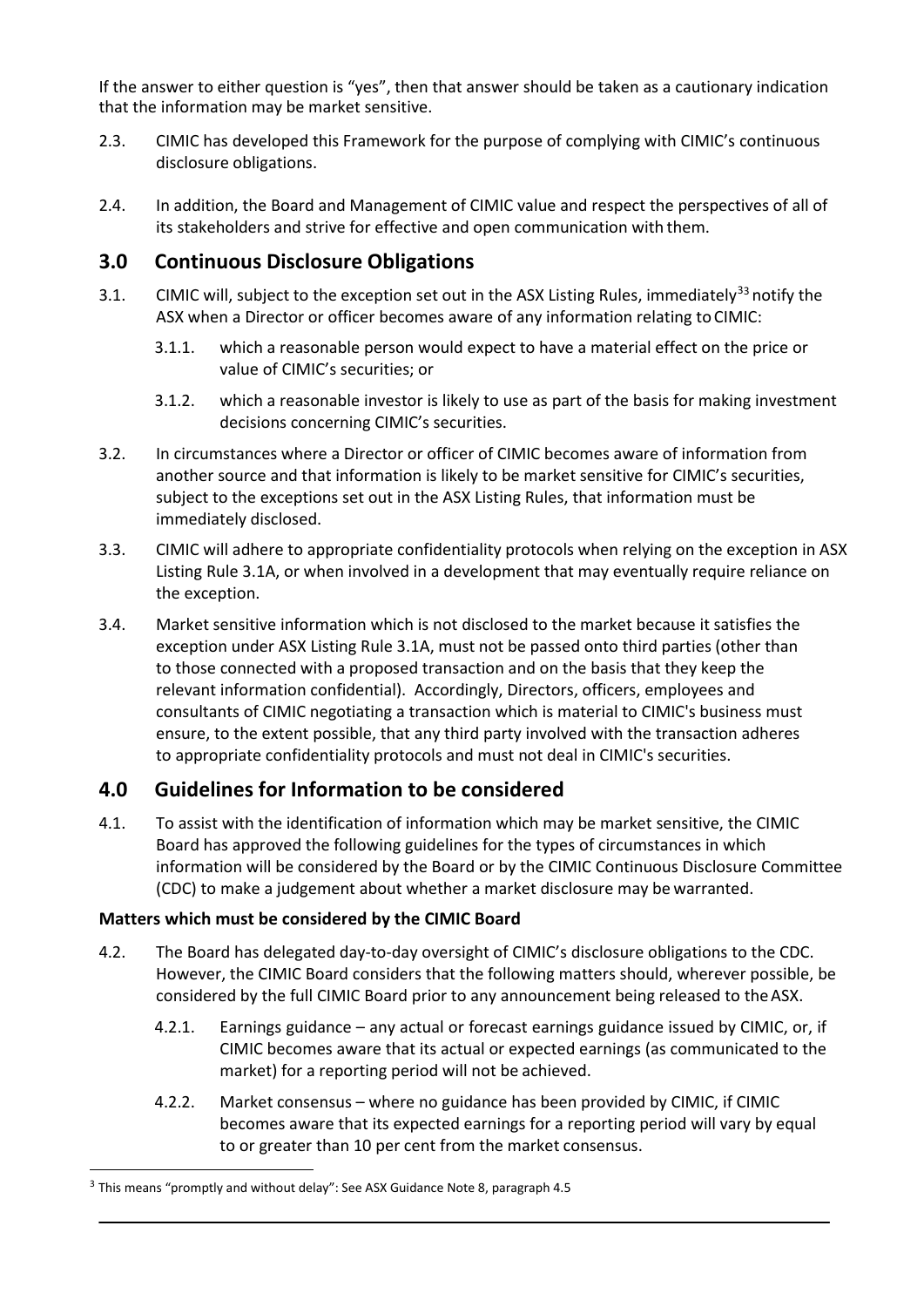If the answer to either question is "yes", then that answer should be taken as a cautionary indication that the information may be market sensitive.

- 2.3. CIMIC has developed this Framework for the purpose of complying with CIMIC's continuous disclosure obligations.
- 2.4. In addition, the Board and Management of CIMIC value and respect the perspectives of all of its stakeholders and strive for effective and open communication with them.

### **3.0 Continuous Disclosure Obligations**

- [3](#page-1-0).1. CIMIC will, subject to the exception set out in the ASX Listing Rules, immediately<sup>33</sup> notify the ASX when a Director or officer becomes aware of any information relating to CIMIC:
	- 3.1.1. which a reasonable person would expect to have a material effect on the price or value of CIMIC's securities; or
	- 3.1.2. which a reasonable investor is likely to use as part of the basis for making investment decisions concerning CIMIC's securities.
- 3.2. In circumstances where a Director or officer of CIMIC becomes aware of information from another source and that information is likely to be market sensitive for CIMIC's securities, subject to the exceptions set out in the ASX Listing Rules, that information must be immediately disclosed.
- 3.3. CIMIC will adhere to appropriate confidentiality protocols when relying on the exception in ASX Listing Rule 3.1A, or when involved in a development that may eventually require reliance on the exception.
- 3.4. Market sensitive information which is not disclosed to the market because it satisfies the exception under ASX Listing Rule 3.1A, must not be passed onto third parties (other than to those connected with a proposed transaction and on the basis that they keep the relevant information confidential). Accordingly, Directors, officers, employees and consultants of CIMIC negotiating a transaction which is material to CIMIC's business must ensure, to the extent possible, that any third party involved with the transaction adheres to appropriate confidentiality protocols and must not deal in CIMIC's securities.

## **4.0 Guidelines for Information to be considered**

4.1. To assist with the identification of information which may be market sensitive, the CIMIC Board has approved the following guidelines for the types of circumstances in which information will be considered by the Board or by the CIMIC Continuous Disclosure Committee (CDC) to make a judgement about whether a market disclosure may be warranted.

#### **Matters which must be considered by the CIMIC Board**

- 4.2. The Board has delegated day-to-day oversight of CIMIC's disclosure obligations to the CDC. However, the CIMIC Board considers that the following matters should, wherever possible, be considered by the full CIMIC Board prior to any announcement being released to theASX.
	- 4.2.1. Earnings guidance any actual or forecast earnings guidance issued by CIMIC, or, if CIMIC becomes aware that its actual or expected earnings (as communicated to the market) for a reporting period will not be achieved.
	- 4.2.2. Market consensus where no guidance has been provided by CIMIC, if CIMIC becomes aware that its expected earnings for a reporting period will vary by equal to or greater than 10 per cent from the market consensus.

<span id="page-1-0"></span><sup>&</sup>lt;sup>3</sup> This means "promptly and without delay": See ASX Guidance Note 8, paragraph 4.5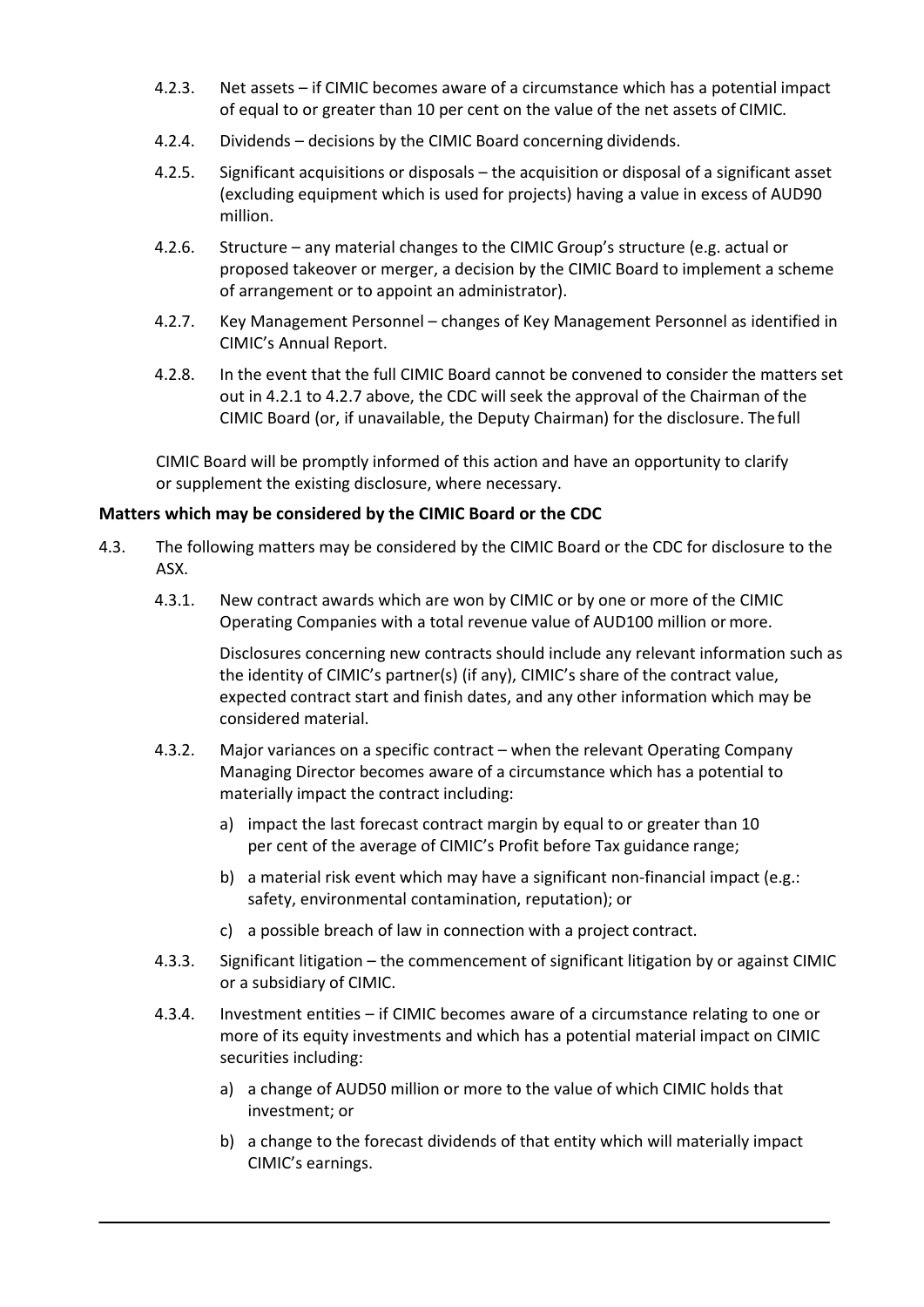- 4.2.3. Net assets if CIMIC becomes aware of a circumstance which has a potential impact of equal to or greater than 10 per cent on the value of the net assets of CIMIC.
- 4.2.4. Dividends decisions by the CIMIC Board concerning dividends.
- 4.2.5. Significant acquisitions or disposals the acquisition or disposal of a significant asset (excluding equipment which is used for projects) having a value in excess of AUD90 million.
- 4.2.6. Structure any material changes to the CIMIC Group's structure (e.g. actual or proposed takeover or merger, a decision by the CIMIC Board to implement a scheme of arrangement or to appoint an administrator).
- 4.2.7. Key Management Personnel changes of Key Management Personnel as identified in CIMIC's Annual Report.
- 4.2.8. In the event that the full CIMIC Board cannot be convened to consider the matters set out in 4.2.1 to 4.2.7 above, the CDC will seek the approval of the Chairman of the CIMIC Board (or, if unavailable, the Deputy Chairman) for the disclosure. The full

CIMIC Board will be promptly informed of this action and have an opportunity to clarify or supplement the existing disclosure, where necessary.

#### **Matters which may be considered by the CIMIC Board or the CDC**

- 4.3. The following matters may be considered by the CIMIC Board or the CDC for disclosure to the ASX.
	- 4.3.1. New contract awards which are won by CIMIC or by one or more of the CIMIC Operating Companies with a total revenue value of AUD100 million or more.

Disclosures concerning new contracts should include any relevant information such as the identity of CIMIC's partner(s) (if any), CIMIC's share of the contract value, expected contract start and finish dates, and any other information which may be considered material.

- 4.3.2. Major variances on a specific contract when the relevant Operating Company Managing Director becomes aware of a circumstance which has a potential to materially impact the contract including:
	- a) impact the last forecast contract margin by equal to or greater than 10 per cent of the average of CIMIC's Profit before Tax guidance range;
	- b) a material risk event which may have a significant non-financial impact (e.g.: safety, environmental contamination, reputation); or
	- c) a possible breach of law in connection with a project contract.
- 4.3.3. Significant litigation the commencement of significant litigation by or against CIMIC or a subsidiary of CIMIC.
- 4.3.4. Investment entities if CIMIC becomes aware of a circumstance relating to one or more of its equity investments and which has a potential material impact on CIMIC securities including:
	- a) a change of AUD50 million or more to the value of which CIMIC holds that investment; or
	- b) a change to the forecast dividends of that entity which will materially impact CIMIC's earnings.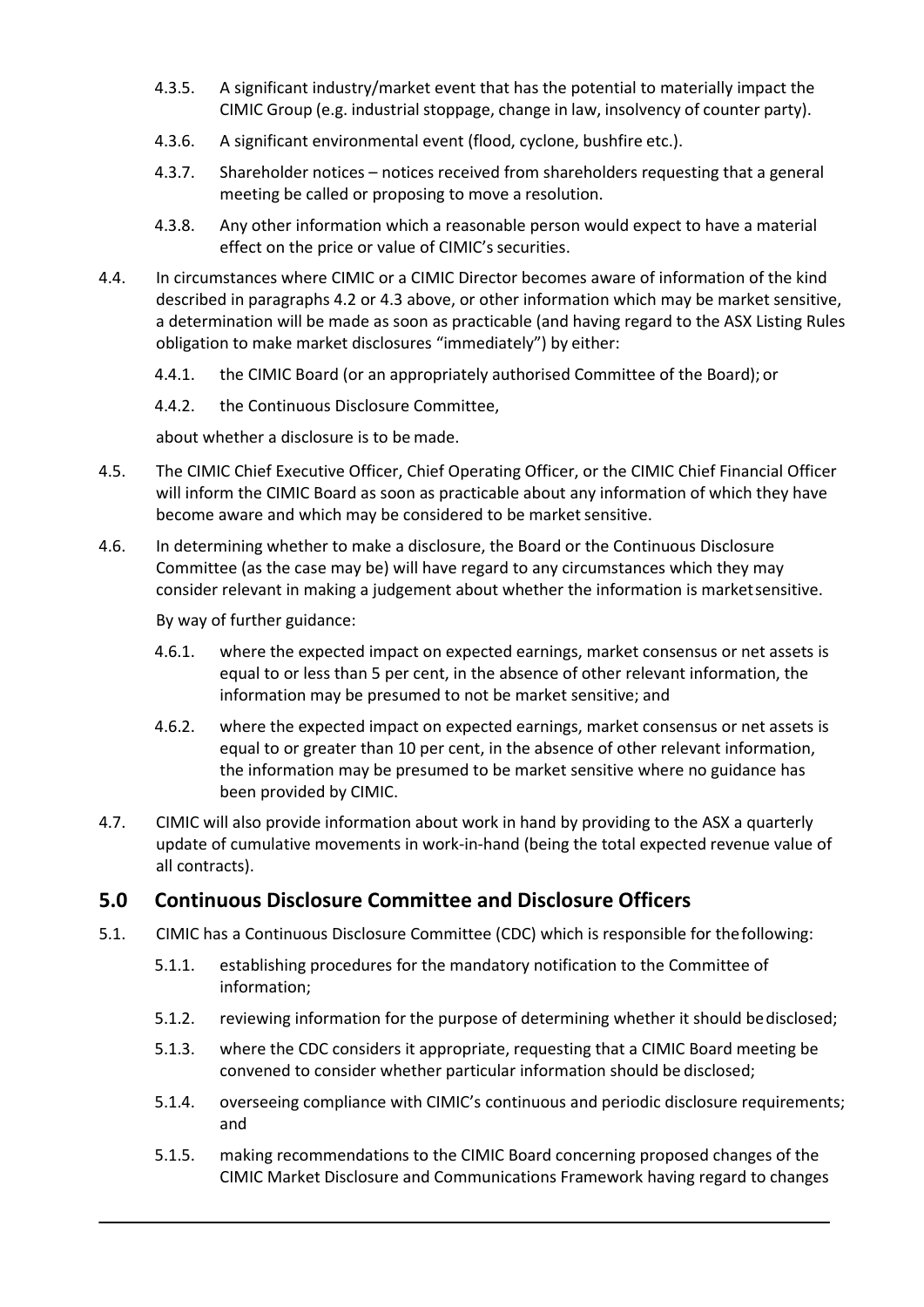- 4.3.5. A significant industry/market event that has the potential to materially impact the CIMIC Group (e.g. industrial stoppage, change in law, insolvency of counter party).
- 4.3.6. A significant environmental event (flood, cyclone, bushfire etc.).
- 4.3.7. Shareholder notices notices received from shareholders requesting that a general meeting be called or proposing to move a resolution.
- 4.3.8. Any other information which a reasonable person would expect to have a material effect on the price or value of CIMIC's securities.
- 4.4. In circumstances where CIMIC or a CIMIC Director becomes aware of information of the kind described in paragraphs 4.2 or 4.3 above, or other information which may be market sensitive, a determination will be made as soon as practicable (and having regard to the ASX Listing Rules obligation to make market disclosures "immediately") by either:
	- 4.4.1. the CIMIC Board (or an appropriately authorised Committee of the Board); or
	- 4.4.2. the Continuous Disclosure Committee,

about whether a disclosure is to be made.

- 4.5. The CIMIC Chief Executive Officer, Chief Operating Officer, or the CIMIC Chief Financial Officer will inform the CIMIC Board as soon as practicable about any information of which they have become aware and which may be considered to be market sensitive.
- 4.6. In determining whether to make a disclosure, the Board or the Continuous Disclosure Committee (as the case may be) will have regard to any circumstances which they may consider relevant in making a judgement about whether the information is marketsensitive.

By way of further guidance:

- 4.6.1. where the expected impact on expected earnings, market consensus or net assets is equal to or less than 5 per cent, in the absence of other relevant information, the information may be presumed to not be market sensitive; and
- 4.6.2. where the expected impact on expected earnings, market consensus or net assets is equal to or greater than 10 per cent, in the absence of other relevant information, the information may be presumed to be market sensitive where no guidance has been provided by CIMIC.
- 4.7. CIMIC will also provide information about work in hand by providing to the ASX a quarterly update of cumulative movements in work-in-hand (being the total expected revenue value of all contracts).

#### **5.0 Continuous Disclosure Committee and Disclosure Officers**

- 5.1. CIMIC has a Continuous Disclosure Committee (CDC) which is responsible for thefollowing:
	- 5.1.1. establishing procedures for the mandatory notification to the Committee of information;
	- 5.1.2. reviewing information for the purpose of determining whether it should bedisclosed;
	- 5.1.3. where the CDC considers it appropriate, requesting that a CIMIC Board meeting be convened to consider whether particular information should be disclosed;
	- 5.1.4. overseeing compliance with CIMIC's continuous and periodic disclosure requirements; and
	- 5.1.5. making recommendations to the CIMIC Board concerning proposed changes of the CIMIC Market Disclosure and Communications Framework having regard to changes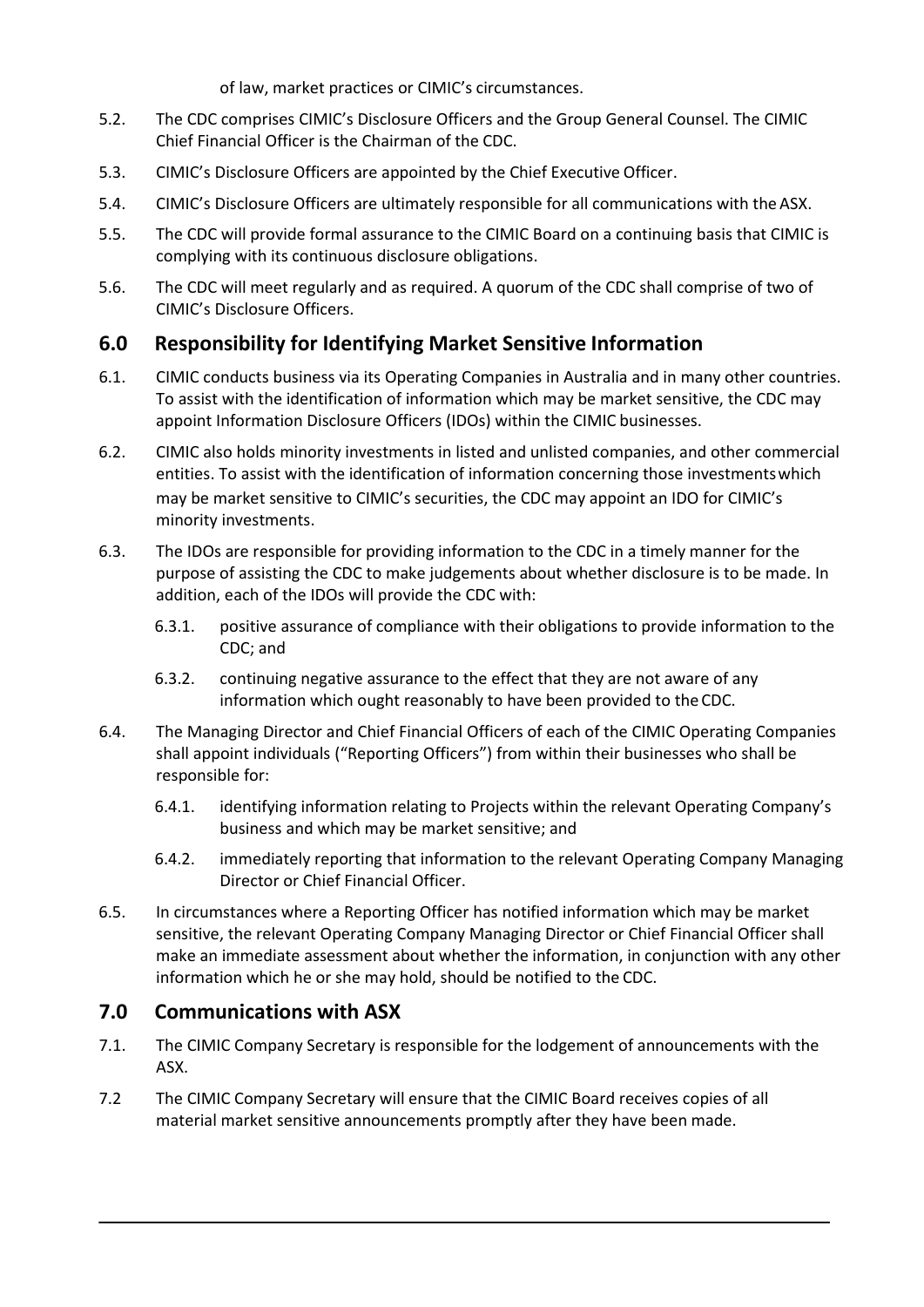of law, market practices or CIMIC's circumstances.

- 5.2. The CDC comprises CIMIC's Disclosure Officers and the Group General Counsel. The CIMIC Chief Financial Officer is the Chairman of the CDC.
- 5.3. CIMIC's Disclosure Officers are appointed by the Chief Executive Officer.
- 5.4. CIMIC's Disclosure Officers are ultimately responsible for all communications with the ASX.
- 5.5. The CDC will provide formal assurance to the CIMIC Board on a continuing basis that CIMIC is complying with its continuous disclosure obligations.
- 5.6. The CDC will meet regularly and as required. A quorum of the CDC shall comprise of two of CIMIC's Disclosure Officers.

# **6.0 Responsibility for Identifying Market Sensitive Information**

- 6.1. CIMIC conducts business via its Operating Companies in Australia and in many other countries. To assist with the identification of information which may be market sensitive, the CDC may appoint Information Disclosure Officers (IDOs) within the CIMIC businesses.
- 6.2. CIMIC also holds minority investments in listed and unlisted companies, and other commercial entities. To assist with the identification of information concerning those investmentswhich may be market sensitive to CIMIC's securities, the CDC may appoint an IDO for CIMIC's minority investments.
- 6.3. The IDOs are responsible for providing information to the CDC in a timely manner for the purpose of assisting the CDC to make judgements about whether disclosure is to be made. In addition, each of the IDOs will provide the CDC with:
	- 6.3.1. positive assurance of compliance with their obligations to provide information to the CDC; and
	- 6.3.2. continuing negative assurance to the effect that they are not aware of any information which ought reasonably to have been provided to theCDC.
- 6.4. The Managing Director and Chief Financial Officers of each of the CIMIC Operating Companies shall appoint individuals ("Reporting Officers") from within their businesses who shall be responsible for:
	- 6.4.1. identifying information relating to Projects within the relevant Operating Company's business and which may be market sensitive; and
	- 6.4.2. immediately reporting that information to the relevant Operating Company Managing Director or Chief Financial Officer.
- 6.5. In circumstances where a Reporting Officer has notified information which may be market sensitive, the relevant Operating Company Managing Director or Chief Financial Officer shall make an immediate assessment about whether the information, in conjunction with any other information which he or she may hold, should be notified to the CDC.

## **7.0 Communications with ASX**

- 7.1. The CIMIC Company Secretary is responsible for the lodgement of announcements with the ASX.
- 7.2 The CIMIC Company Secretary will ensure that the CIMIC Board receives copies of all material market sensitive announcements promptly after they have been made.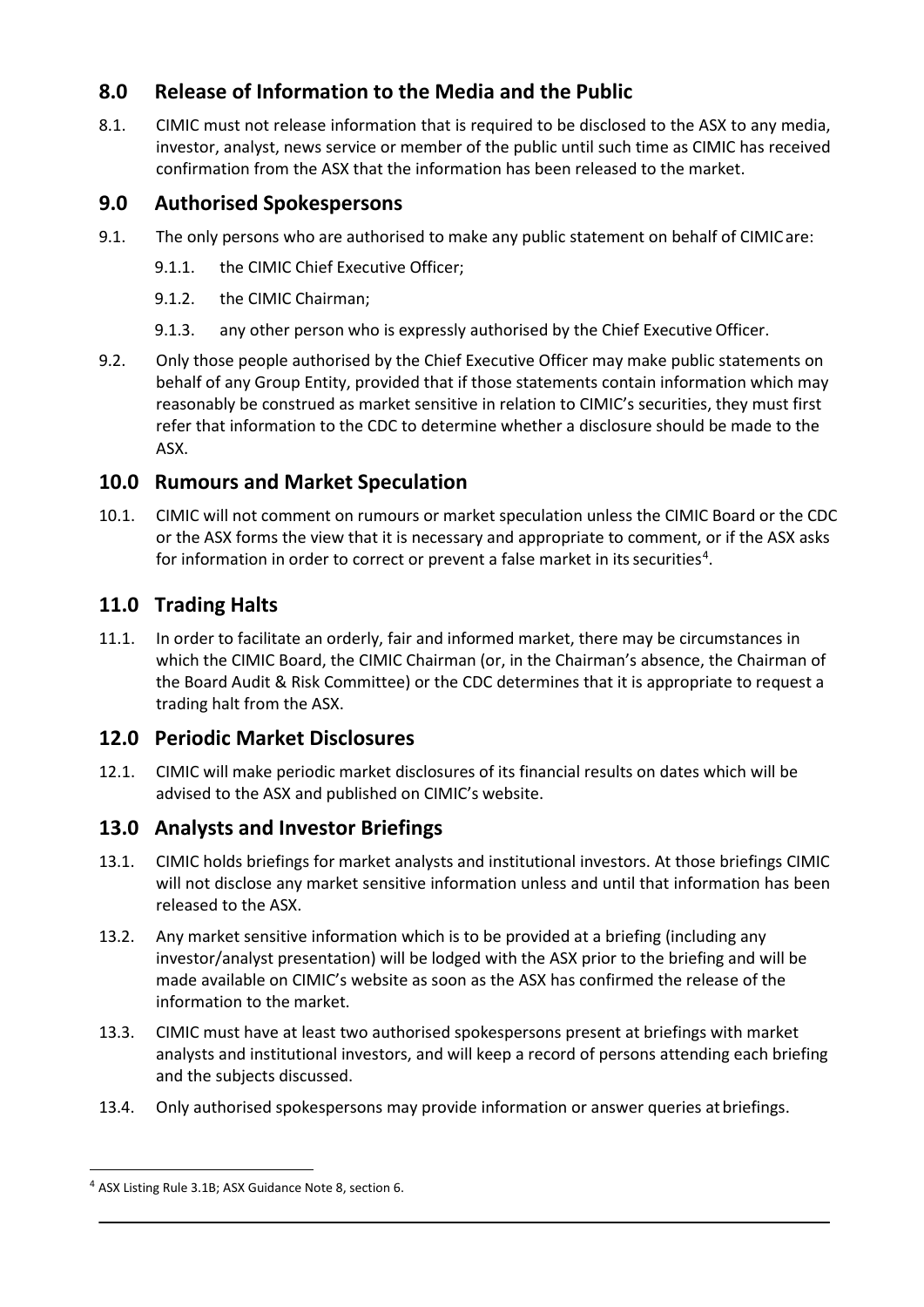# **8.0 Release of Information to the Media and the Public**

8.1. CIMIC must not release information that is required to be disclosed to the ASX to any media, investor, analyst, news service or member of the public until such time as CIMIC has received confirmation from the ASX that the information has been released to the market.

# **9.0 Authorised Spokespersons**

- 9.1. The only persons who are authorised to make any public statement on behalf of CIMICare:
	- 9.1.1. the CIMIC Chief Executive Officer;
	- 9.1.2. the CIMIC Chairman;
	- 9.1.3. any other person who is expressly authorised by the Chief Executive Officer.
- 9.2. Only those people authorised by the Chief Executive Officer may make public statements on behalf of any Group Entity, provided that if those statements contain information which may reasonably be construed as market sensitive in relation to CIMIC's securities, they must first refer that information to the CDC to determine whether a disclosure should be made to the ASX.

# **10.0 Rumours and Market Speculation**

10.1. CIMIC will not comment on rumours or market speculation unless the CIMIC Board or the CDC or the ASX forms the view that it is necessary and appropriate to comment, or if the ASX asks for information in order to correct or prevent a false market in its securities<sup>[4](#page-5-0)</sup>.

# **11.0 Trading Halts**

11.1. In order to facilitate an orderly, fair and informed market, there may be circumstances in which the CIMIC Board, the CIMIC Chairman (or, in the Chairman's absence, the Chairman of the Board Audit & Risk Committee) or the CDC determines that it is appropriate to request a trading halt from the ASX.

## **12.0 Periodic Market Disclosures**

12.1. CIMIC will make periodic market disclosures of its financial results on dates which will be advised to the ASX and published on CIMIC's website.

# **13.0 Analysts and Investor Briefings**

- 13.1. CIMIC holds briefings for market analysts and institutional investors. At those briefings CIMIC will not disclose any market sensitive information unless and until that information has been released to the ASX.
- 13.2. Any market sensitive information which is to be provided at a briefing (including any investor/analyst presentation) will be lodged with the ASX prior to the briefing and will be made available on CIMIC's website as soon as the ASX has confirmed the release of the information to the market.
- 13.3. CIMIC must have at least two authorised spokespersons present at briefings with market analysts and institutional investors, and will keep a record of persons attending each briefing and the subjects discussed.
- 13.4. Only authorised spokespersons may provide information or answer queries atbriefings.

<span id="page-5-0"></span><sup>4</sup> ASX Listing Rule 3.1B; ASX Guidance Note 8, section 6.